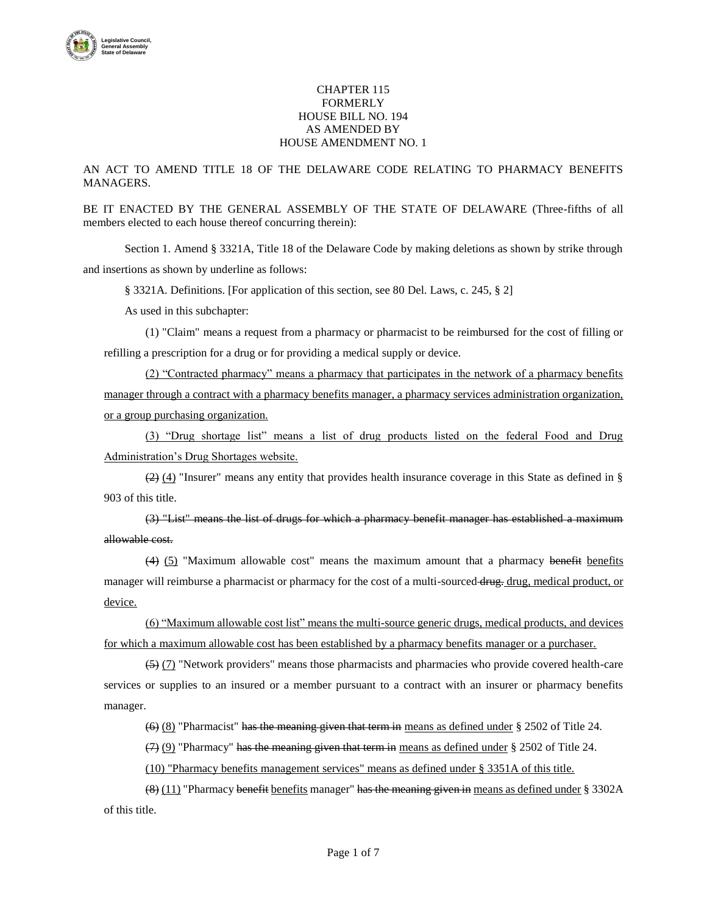

## CHAPTER 115 FORMERLY HOUSE BILL NO. 194 AS AMENDED BY HOUSE AMENDMENT NO. 1

AN ACT TO AMEND TITLE 18 OF THE DELAWARE CODE RELATING TO PHARMACY BENEFITS MANAGERS.

BE IT ENACTED BY THE GENERAL ASSEMBLY OF THE STATE OF DELAWARE (Three-fifths of all members elected to each house thereof concurring therein):

Section 1. Amend § 3321A, Title 18 of the Delaware Code by making deletions as shown by strike through and insertions as shown by underline as follows:

§ 3321A. Definitions. [For application of this section, see 80 Del. Laws, c. 245, § 2]

As used in this subchapter:

(1) "Claim" means a request from a pharmacy or pharmacist to be reimbursed for the cost of filling or refilling a prescription for a drug or for providing a medical supply or device.

(2) "Contracted pharmacy" means a pharmacy that participates in the network of a pharmacy benefits manager through a contract with a pharmacy benefits manager, a pharmacy services administration organization, or a group purchasing organization.

(3) "Drug shortage list" means a list of drug products listed on the federal Food and Drug Administration's Drug Shortages website.

 $(2)$  (4) "Insurer" means any entity that provides health insurance coverage in this State as defined in § 903 of this title.

(3) "List" means the list of drugs for which a pharmacy benefit manager has established a maximum allowable cost.

 $(4)$  (5) "Maximum allowable cost" means the maximum amount that a pharmacy benefit benefits manager will reimburse a pharmacist or pharmacy for the cost of a multi-sourced drug. drug, medical product, or device.

(6) "Maximum allowable cost list" means the multi-source generic drugs, medical products, and devices for which a maximum allowable cost has been established by a pharmacy benefits manager or a purchaser.

(5) (7) "Network providers" means those pharmacists and pharmacies who provide covered health-care services or supplies to an insured or a member pursuant to a contract with an insurer or pharmacy benefits manager.

 $(6)$  (8) "Pharmacist" has the meaning given that term in means as defined under § 2502 of Title 24.

 $(7)$  (9) "Pharmacy" has the meaning given that term in means as defined under § 2502 of Title 24.

(10) "Pharmacy benefits management services" means as defined under § 3351A of this title.

 $(8)$  (11) "Pharmacy benefit benefits manager" has the meaning given in means as defined under § 3302A of this title.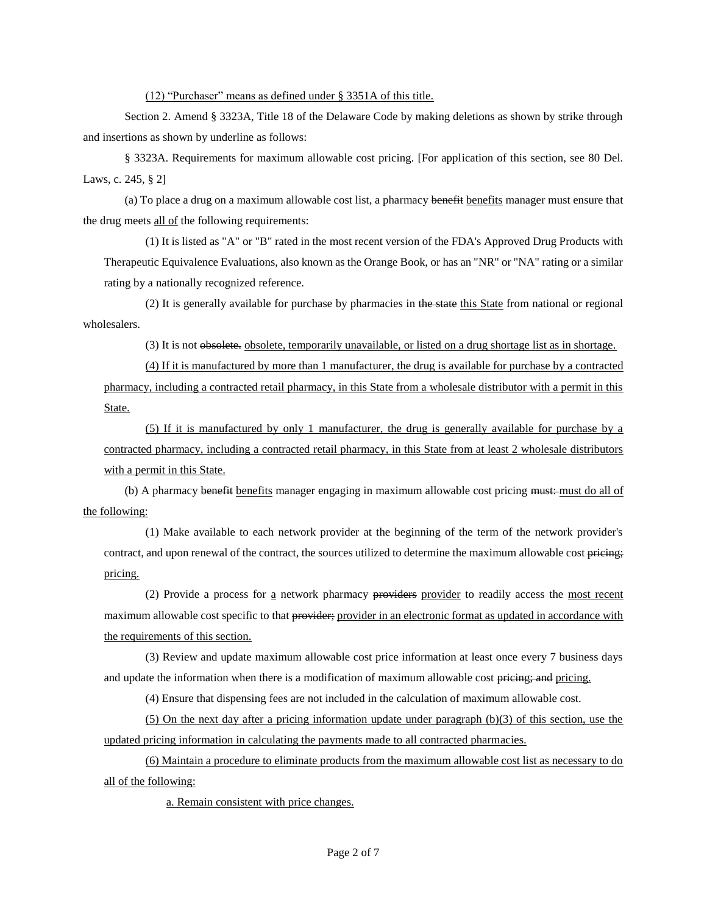(12) "Purchaser" means as defined under § 3351A of this title.

Section 2. Amend § 3323A, Title 18 of the Delaware Code by making deletions as shown by strike through and insertions as shown by underline as follows:

§ 3323A. Requirements for maximum allowable cost pricing. [For application of this section, see 80 Del. Laws, c. 245, § 2]

(a) To place a drug on a maximum allowable cost list, a pharmacy benefit benefits manager must ensure that the drug meets all of the following requirements:

(1) It is listed as "A" or "B" rated in the most recent version of the FDA's Approved Drug Products with Therapeutic Equivalence Evaluations, also known as the Orange Book, or has an "NR" or "NA" rating or a similar rating by a nationally recognized reference.

(2) It is generally available for purchase by pharmacies in the state this State from national or regional wholesalers.

(3) It is not obsolete. obsolete, temporarily unavailable, or listed on a drug shortage list as in shortage.

(4) If it is manufactured by more than 1 manufacturer, the drug is available for purchase by a contracted pharmacy, including a contracted retail pharmacy, in this State from a wholesale distributor with a permit in this State.

(5) If it is manufactured by only 1 manufacturer, the drug is generally available for purchase by a contracted pharmacy, including a contracted retail pharmacy, in this State from at least 2 wholesale distributors with a permit in this State.

(b) A pharmacy benefit benefits manager engaging in maximum allowable cost pricing must. must do all of the following:

(1) Make available to each network provider at the beginning of the term of the network provider's contract, and upon renewal of the contract, the sources utilized to determine the maximum allowable cost pricing; pricing.

(2) Provide a process for a network pharmacy providers provider to readily access the most recent maximum allowable cost specific to that provider; provider in an electronic format as updated in accordance with the requirements of this section.

(3) Review and update maximum allowable cost price information at least once every 7 business days and update the information when there is a modification of maximum allowable cost pricing; and pricing.

(4) Ensure that dispensing fees are not included in the calculation of maximum allowable cost.

(5) On the next day after a pricing information update under paragraph (b)(3) of this section, use the updated pricing information in calculating the payments made to all contracted pharmacies.

(6) Maintain a procedure to eliminate products from the maximum allowable cost list as necessary to do all of the following:

a. Remain consistent with price changes.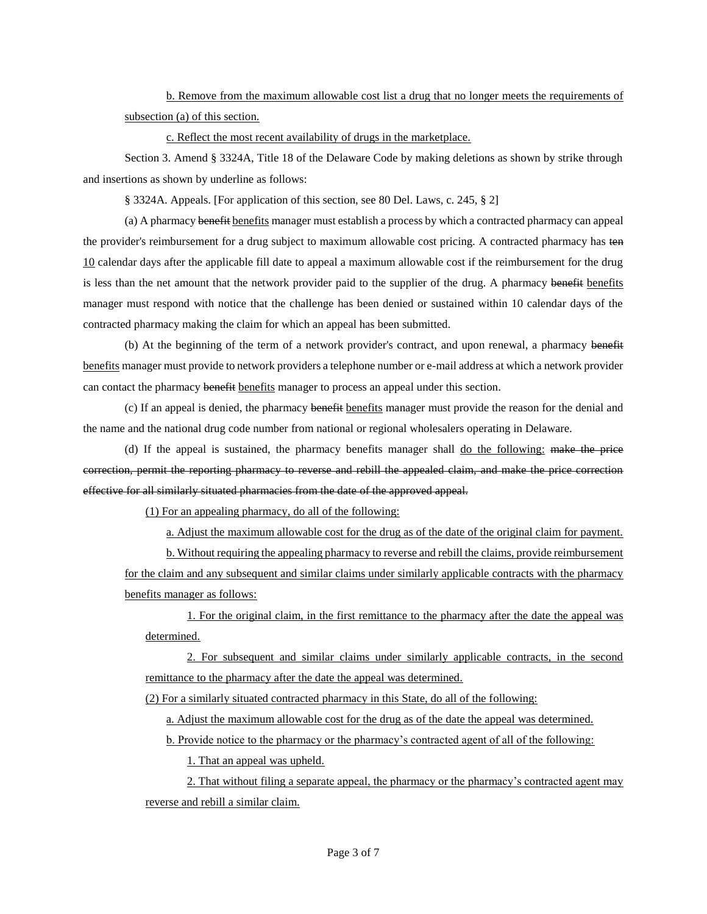b. Remove from the maximum allowable cost list a drug that no longer meets the requirements of subsection (a) of this section.

c. Reflect the most recent availability of drugs in the marketplace.

Section 3. Amend § 3324A, Title 18 of the Delaware Code by making deletions as shown by strike through and insertions as shown by underline as follows:

§ 3324A. Appeals. [For application of this section, see 80 Del. Laws, c. 245, § 2]

(a) A pharmacy benefit benefits manager must establish a process by which a contracted pharmacy can appeal the provider's reimbursement for a drug subject to maximum allowable cost pricing. A contracted pharmacy has ten 10 calendar days after the applicable fill date to appeal a maximum allowable cost if the reimbursement for the drug is less than the net amount that the network provider paid to the supplier of the drug. A pharmacy benefither manager must respond with notice that the challenge has been denied or sustained within 10 calendar days of the contracted pharmacy making the claim for which an appeal has been submitted.

(b) At the beginning of the term of a network provider's contract, and upon renewal, a pharmacy benefit benefits manager must provide to network providers a telephone number or e-mail address at which a network provider can contact the pharmacy benefit benefits manager to process an appeal under this section.

(c) If an appeal is denied, the pharmacy benefit benefits manager must provide the reason for the denial and the name and the national drug code number from national or regional wholesalers operating in Delaware.

(d) If the appeal is sustained, the pharmacy benefits manager shall do the following: make the price correction, permit the reporting pharmacy to reverse and rebill the appealed claim, and make the price correction effective for all similarly situated pharmacies from the date of the approved appeal.

(1) For an appealing pharmacy, do all of the following:

a. Adjust the maximum allowable cost for the drug as of the date of the original claim for payment.

b. Without requiring the appealing pharmacy to reverse and rebill the claims, provide reimbursement for the claim and any subsequent and similar claims under similarly applicable contracts with the pharmacy benefits manager as follows:

1. For the original claim, in the first remittance to the pharmacy after the date the appeal was determined.

2. For subsequent and similar claims under similarly applicable contracts, in the second remittance to the pharmacy after the date the appeal was determined.

(2) For a similarly situated contracted pharmacy in this State, do all of the following:

a. Adjust the maximum allowable cost for the drug as of the date the appeal was determined.

b. Provide notice to the pharmacy or the pharmacy's contracted agent of all of the following:

1. That an appeal was upheld.

2. That without filing a separate appeal, the pharmacy or the pharmacy's contracted agent may reverse and rebill a similar claim.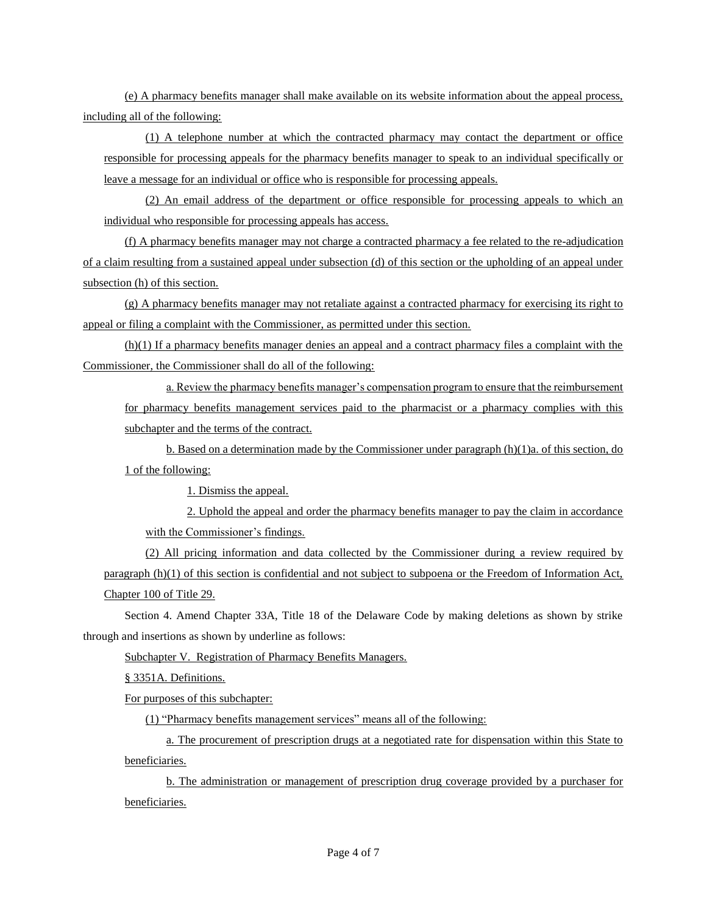(e) A pharmacy benefits manager shall make available on its website information about the appeal process, including all of the following:

(1) A telephone number at which the contracted pharmacy may contact the department or office responsible for processing appeals for the pharmacy benefits manager to speak to an individual specifically or leave a message for an individual or office who is responsible for processing appeals.

(2) An email address of the department or office responsible for processing appeals to which an individual who responsible for processing appeals has access.

(f) A pharmacy benefits manager may not charge a contracted pharmacy a fee related to the re-adjudication of a claim resulting from a sustained appeal under subsection (d) of this section or the upholding of an appeal under subsection (h) of this section.

(g) A pharmacy benefits manager may not retaliate against a contracted pharmacy for exercising its right to appeal or filing a complaint with the Commissioner, as permitted under this section.

(h)(1) If a pharmacy benefits manager denies an appeal and a contract pharmacy files a complaint with the Commissioner, the Commissioner shall do all of the following:

a. Review the pharmacy benefits manager's compensation program to ensure that the reimbursement for pharmacy benefits management services paid to the pharmacist or a pharmacy complies with this subchapter and the terms of the contract.

b. Based on a determination made by the Commissioner under paragraph (h)(1)a. of this section, do 1 of the following:

1. Dismiss the appeal.

2. Uphold the appeal and order the pharmacy benefits manager to pay the claim in accordance with the Commissioner's findings.

(2) All pricing information and data collected by the Commissioner during a review required by paragraph (h)(1) of this section is confidential and not subject to subpoena or the Freedom of Information Act, Chapter 100 of Title 29.

Section 4. Amend Chapter 33A, Title 18 of the Delaware Code by making deletions as shown by strike through and insertions as shown by underline as follows:

Subchapter V. Registration of Pharmacy Benefits Managers.

§ 3351A. Definitions.

For purposes of this subchapter:

(1) "Pharmacy benefits management services" means all of the following:

a. The procurement of prescription drugs at a negotiated rate for dispensation within this State to beneficiaries.

b. The administration or management of prescription drug coverage provided by a purchaser for beneficiaries.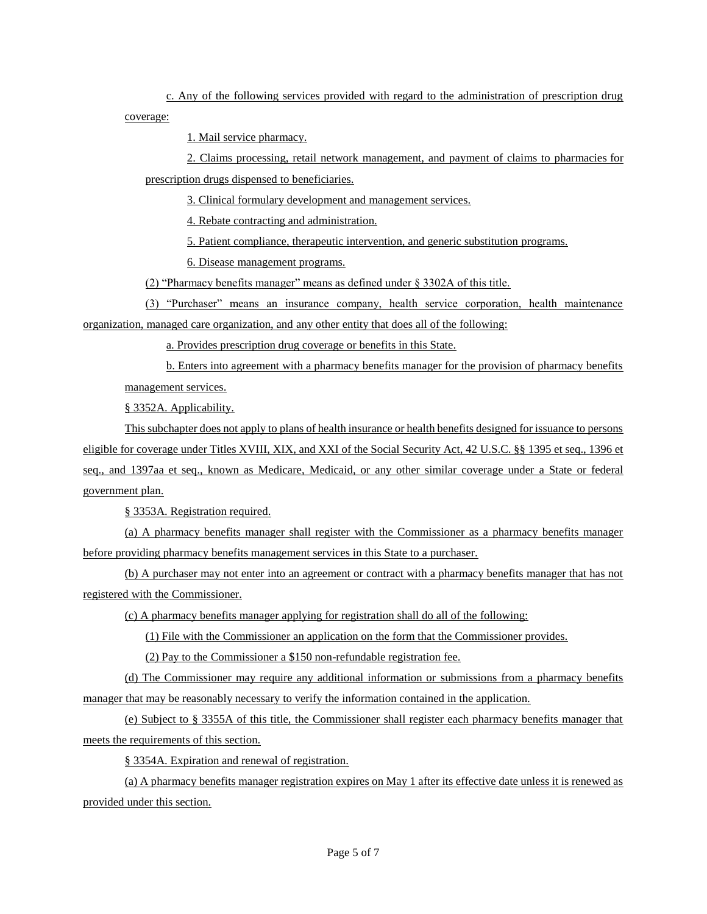c. Any of the following services provided with regard to the administration of prescription drug coverage:

1. Mail service pharmacy.

2. Claims processing, retail network management, and payment of claims to pharmacies for prescription drugs dispensed to beneficiaries.

3. Clinical formulary development and management services.

4. Rebate contracting and administration.

5. Patient compliance, therapeutic intervention, and generic substitution programs.

6. Disease management programs.

(2) "Pharmacy benefits manager" means as defined under § 3302A of this title.

(3) "Purchaser" means an insurance company, health service corporation, health maintenance organization, managed care organization, and any other entity that does all of the following:

a. Provides prescription drug coverage or benefits in this State.

b. Enters into agreement with a pharmacy benefits manager for the provision of pharmacy benefits management services.

§ 3352A. Applicability.

This subchapter does not apply to plans of health insurance or health benefits designed for issuance to persons eligible for coverage under Titles XVIII, XIX, and XXI of the Social Security Act, 42 U.S.C. §§ 1395 et seq., 1396 et seq., and 1397aa et seq., known as Medicare, Medicaid, or any other similar coverage under a State or federal government plan.

§ 3353A. Registration required.

(a) A pharmacy benefits manager shall register with the Commissioner as a pharmacy benefits manager before providing pharmacy benefits management services in this State to a purchaser.

(b) A purchaser may not enter into an agreement or contract with a pharmacy benefits manager that has not registered with the Commissioner.

(c) A pharmacy benefits manager applying for registration shall do all of the following:

(1) File with the Commissioner an application on the form that the Commissioner provides.

(2) Pay to the Commissioner a \$150 non-refundable registration fee.

(d) The Commissioner may require any additional information or submissions from a pharmacy benefits manager that may be reasonably necessary to verify the information contained in the application.

(e) Subject to § 3355A of this title, the Commissioner shall register each pharmacy benefits manager that meets the requirements of this section.

§ 3354A. Expiration and renewal of registration.

(a) A pharmacy benefits manager registration expires on May 1 after its effective date unless it is renewed as provided under this section.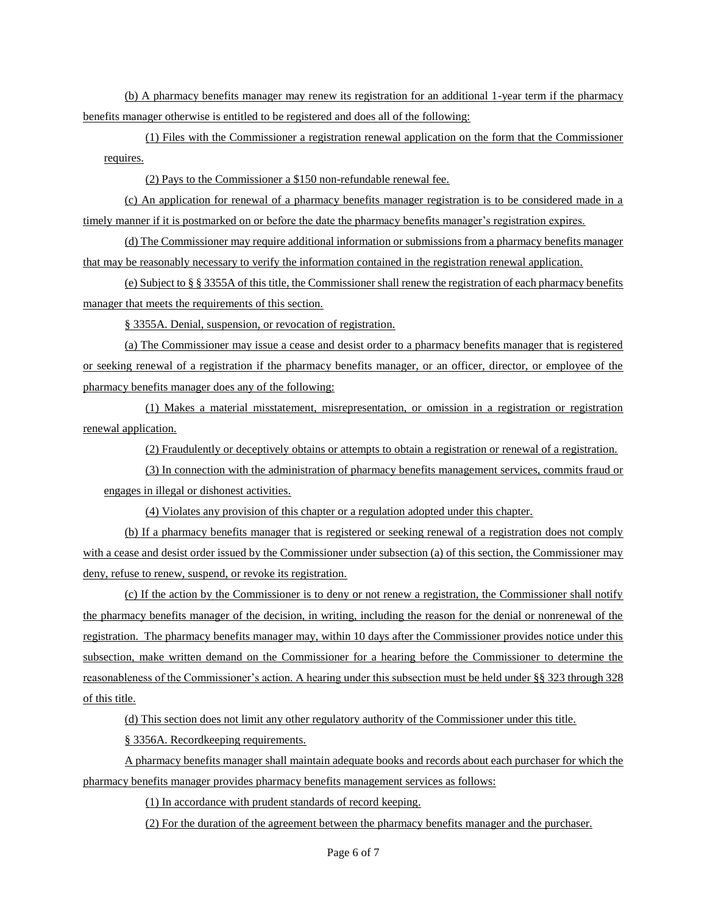(b) A pharmacy benefits manager may renew its registration for an additional 1-year term if the pharmacy benefits manager otherwise is entitled to be registered and does all of the following:

(1) Files with the Commissioner a registration renewal application on the form that the Commissioner requires.

(2) Pays to the Commissioner a \$150 non-refundable renewal fee.

(c) An application for renewal of a pharmacy benefits manager registration is to be considered made in a timely manner if it is postmarked on or before the date the pharmacy benefits manager's registration expires.

(d) The Commissioner may require additional information or submissions from a pharmacy benefits manager that may be reasonably necessary to verify the information contained in the registration renewal application.

(e) Subject to § § 3355A of this title, the Commissioner shall renew the registration of each pharmacy benefits manager that meets the requirements of this section.

§ 3355A. Denial, suspension, or revocation of registration.

(a) The Commissioner may issue a cease and desist order to a pharmacy benefits manager that is registered or seeking renewal of a registration if the pharmacy benefits manager, or an officer, director, or employee of the pharmacy benefits manager does any of the following:

(1) Makes a material misstatement, misrepresentation, or omission in a registration or registration renewal application.

(2) Fraudulently or deceptively obtains or attempts to obtain a registration or renewal of a registration.

(3) In connection with the administration of pharmacy benefits management services, commits fraud or engages in illegal or dishonest activities.

(4) Violates any provision of this chapter or a regulation adopted under this chapter.

(b) If a pharmacy benefits manager that is registered or seeking renewal of a registration does not comply with a cease and desist order issued by the Commissioner under subsection (a) of this section, the Commissioner may deny, refuse to renew, suspend, or revoke its registration.

(c) If the action by the Commissioner is to deny or not renew a registration, the Commissioner shall notify the pharmacy benefits manager of the decision, in writing, including the reason for the denial or nonrenewal of the registration. The pharmacy benefits manager may, within 10 days after the Commissioner provides notice under this subsection, make written demand on the Commissioner for a hearing before the Commissioner to determine the reasonableness of the Commissioner's action. A hearing under this subsection must be held under §§ 323 through 328 of this title.

(d) This section does not limit any other regulatory authority of the Commissioner under this title.

§ 3356A. Recordkeeping requirements.

A pharmacy benefits manager shall maintain adequate books and records about each purchaser for which the pharmacy benefits manager provides pharmacy benefits management services as follows:

(1) In accordance with prudent standards of record keeping.

(2) For the duration of the agreement between the pharmacy benefits manager and the purchaser.